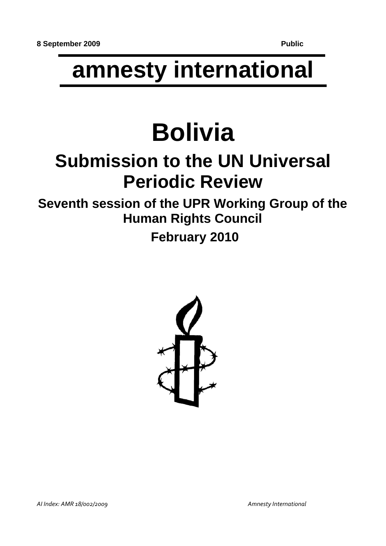## **amnesty international**

# **Bolivia**

## **Submission to the UN Universal Periodic Review**

**Seventh session of the UPR Working Group of the Human Rights Council**

 **February 2010**

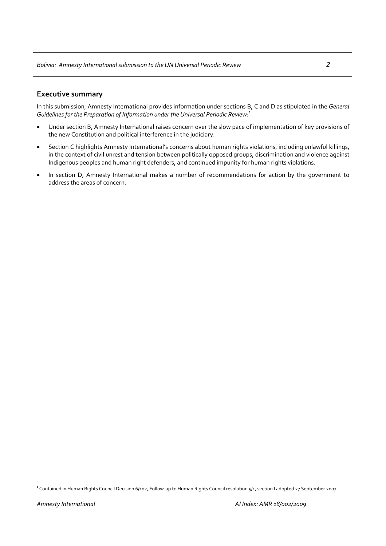#### **Executive summary**

In this submission, Amnesty International provides information under sections B, C and D as stipulated in the *General Guidelines for the Preparation of Information under the Universal Periodic Review:*[1](#page-1-0)

- Under section B, Amnesty International raises concern over the slow pace of implementation of key provisions of the new Constitution and political interference in the judiciary.
- Section C highlights Amnesty International's concerns about human rights violations, including unlawful killings, in the context of civil unrest and tension between politically opposed groups, discrimination and violence against Indigenous peoples and human right defenders, and continued impunity for human rights violations.
- In section D, Amnesty International makes a number of recommendations for action by the government to address the areas of concern.

<span id="page-1-0"></span><sup>&</sup>lt;sup>1</sup> Contained in Human Rights Council Decision 6/102, Follow-up to Human Rights Council resolution 5/1, section I adopted 27 September 2007.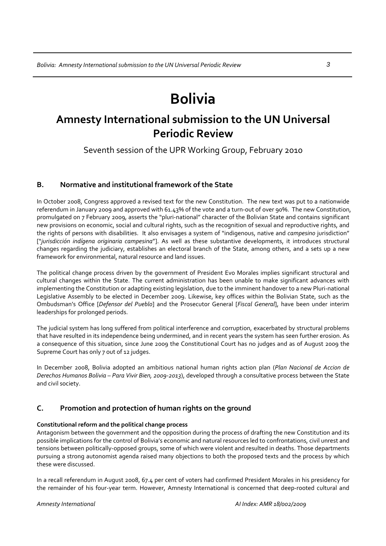### **Bolivia**

### **Amnesty International submission to the UN Universal Periodic Review**

Seventh session of the UPR Working Group, February 2010

#### **B. Normative and institutional framework of the State**

In October 2008, Congress approved a revised text for the new Constitution. The new text was put to a nationwide referendum in January 2009 and approved with 61.43% of the vote and a turn‐out of over 90%. The new Constitution, promulgated on 7 February 2009, asserts the "pluri‐national" character of the Bolivian State and contains significant new provisions on economic, social and cultural rights, such as the recognition of sexual and reproductive rights, and the rights of persons with disabilities. It also envisages a system of "indigenous, native and *campesino* jurisdiction" ["*jurisdicción indígena originaria campesina*"]. As well as these substantive developments, it introduces structural changes regarding the judiciary, establishes an electoral branch of the State, among others, and a sets up a new framework for environmental, natural resource and land issues.

The political change process driven by the government of President Evo Morales implies significant structural and cultural changes within the State. The current administration has been unable to make significant advances with implementing the Constitution or adapting existing legislation, due to the imminent handover to a new Pluri-national Legislative Assembly to be elected in December 2009. Likewise, key offices within the Bolivian State, such as the Ombudsman's Office [*Defensor del Pueblo*] and the Prosecutor General [*Fiscal General*], have been under interim leaderships for prolonged periods.

The judicial system has long suffered from political interference and corruption, exacerbated by structural problems that have resulted in its independence being undermined, and in recent years the system has seen further erosion. As a consequence of this situation, since June 2009 the Constitutional Court has no judges and as of August 2009 the Supreme Court has only 7 out of 12 judges.

In December 2008, Bolivia adopted an ambitious national human rights action plan (*Plan Nacional de Accion de Derechos Humanos Bolivia – Para Vivir Bien, 2009‐2013*), developed through a consultative process between the State and civil society.

#### **C. Promotion and protection of human rights on the ground**

#### **Constitutional reform and the political change process**

Antagonism between the government and the opposition during the process of drafting the new Constitution and its possible implications for the control of Bolivia's economic and natural resources led to confrontations, civil unrest and tensions between politically‐opposed groups, some of which were violent and resulted in deaths. Those departments pursuing a strong autonomist agenda raised many objections to both the proposed texts and the process by which these were discussed.

In a recall referendum in August 2008, 67.4 per cent of voters had confirmed President Morales in his presidency for the remainder of his four‐year term. However, Amnesty International is concerned that deep‐rooted cultural and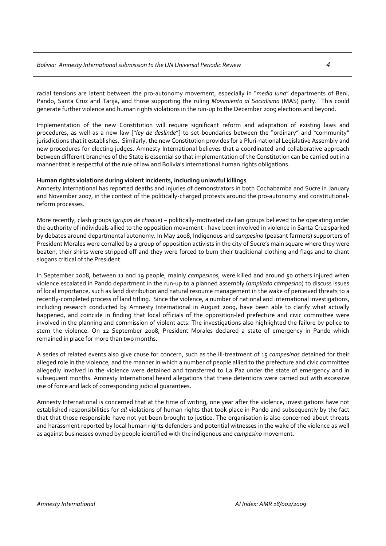racial tensions are latent between the pro‐autonomy movement, especially in "*media luna*" departments of Beni, Pando, Santa Cruz and Tarija, and those supporting the ruling *Movimiento al Socialismo* (MAS) party. This could generate further violence and human rights violations in the run‐up to the December 2009 elections and beyond.

Implementation of the new Constitution will require significant reform and adaptation of existing laws and procedures, as well as a new law ["*ley de deslinde*"] to set boundaries between the "ordinary" and "community" jurisdictions that it establishes. Similarly, the new Constitution provides for a Pluri-national Legislative Assembly and new procedures for electing judges. Amnesty International believes that a coordinated and collaborative approach between different branches of the State is essential so that implementation of the Constitution can be carried out in a manner that is respectful of the rule of law and Bolivia's international human rights obligations.

#### **Human rights violations during violent incidents, including unlawful killings**

Amnesty International has reported deaths and injuries of demonstrators in both Cochabamba and Sucre in January and November 2007, in the context of the politically-charged protests around the pro-autonomy and constitutionalreform processes.

More recently, clash groups (*grupos de choque*) – politically‐motivated civilian groups believed to be operating under the authority of individuals allied to the opposition movement ‐ have been involved in violence in Santa Cruz sparked by debates around departmental autonomy. In May 2008, Indigenous and *campesino* (peasant farmers) supporters of President Morales were corralled by a group of opposition activists in the city of Sucre's main square where they were beaten, their shirts were stripped off and they were forced to burn their traditional clothing and flags and to chant slogans critical of the President.

In September 2008, between 11 and 19 people, mainly *campesinos*, were killed and around 50 others injured when violence escalated in Pando department in the run‐up to a planned assembly (*ampliado campesino*) to discuss issues of local importance, such as land distribution and natural resource management in the wake of perceived threats to a recently-completed process of land titling. Since the violence, a number of national and international investigations, including research conducted by Amnesty International in August 2009, have been able to clarify what actually happened, and coincide in finding that local officials of the opposition-led prefecture and civic committee were involved in the planning and commission of violent acts. The investigations also highlighted the failure by police to stem the violence. On 12 September 2008, President Morales declared a state of emergency in Pando which remained in place for more than two months.

A series of related events also give cause for concern, such as the ill‐treatment of 15 *campesinos* detained for their alleged role in the violence, and the manner in which a number of people allied to the prefecture and civic committee allegedly involved in the violence were detained and transferred to La Paz under the state of emergency and in subsequent months. Amnesty International heard allegations that these detentions were carried out with excessive use of force and lack of corresponding judicial guarantees.

Amnesty International is concerned that at the time of writing, one year after the violence, investigations have not established responsibilities for *all* violations of human rights that took place in Pando and subsequently by the fact that that those responsible have not yet been brought to justice. The organisation is also concerned about threats and harassment reported by local human rights defenders and potential witnesses in the wake of the violence as well as against businesses owned by people identified with the indigenous and *campesino* movement.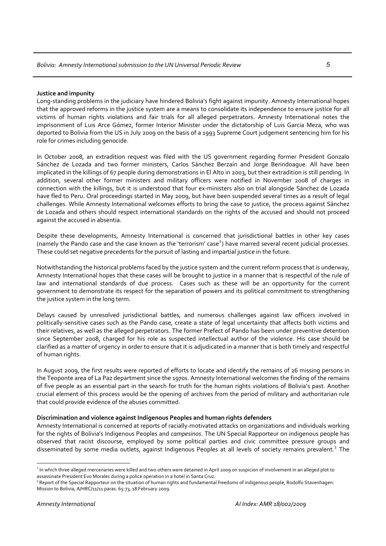#### **Justice and impunity**

Long-standing problems in the judiciary have hindered Bolivia's fight against impunity. Amnesty International hopes that the approved reforms in the justice system are a means to consolidate its independence to ensure justice for all victims of human rights violations and fair trials for all alleged perpetrators. Amnesty International notes the imprisonment of Luis Arce Gómez, former Interior Minister under the dictatorship of Luis Garcia Meza, who was deported to Bolivia from the US in July 2009 on the basis of a 1993 Supreme Court judgement sentencing him for his role for crimes including genocide.

In October 2008, an extradition request was filed with the US government regarding former President Gonzalo Sánchez de Lozada and two former ministers, Carlos Sánchez Berzaín and Jorge Berindoague. All have been implicated in the killings of 67 people during demonstrations in El Alto in 2003, but their extradition is still pending. In addition, several other former ministers and military officers were notified in November 2008 of charges in connection with the killings, but it is understood that four ex‐ministers also on trial alongside Sánchez de Lozada have fled to Peru. Oral proceedings started in May 2009, but have been suspended several times as a result of legal challenges. While Amnesty International welcomes efforts to bring the case to justice, the process against Sánchez de Lozada and others should respect international standards on the rights of the accused and should not proceed against the accused in absentia.

Despite these developments, Amnesty International is concerned that jurisdictional battles in other key cases (namely the Pando case and the case known as the 'terrorism' case<sup>[2](#page-4-0)</sup>) have marred several recent judicial processes. These could set negative precedents for the pursuit of lasting and impartial justice in the future.

Notwithstanding the historical problems faced by the justice system and the current reform process that is underway, Amnesty International hopes that these cases will be brought to justice in a manner that is respectful of the rule of law and international standards of due process. Cases such as these will be an opportunity for the current government to demonstrate its respect for the separation of powers and its political commitment to strengthening the justice system in the long term.

Delays caused by unresolved jurisdictional battles, and numerous challenges against law officers involved in politically-sensitive cases such as the Pando case, create a state of legal uncertainty that affects both victims and their relatives, as well as the alleged perpetrators. The former Prefect of Pando has been under preventive detention since September 2008, charged for his role as suspected intellectual author of the violence. His case should be clarified as a matter of urgency in order to ensure that it is adjudicated in a manner that is both timely and respectful of human rights.

In August 2009, the first results were reported of efforts to locate and identify the remains of 26 missing persons in the Teoponte area of La Paz department since the 1970s. Amnesty International welcomes the finding of the remains of five people as an essential part in the search for truth for the human rights violations of Bolivia's past. Another crucial element of this process would be the opening of archives from the period of military and authoritarian rule that could provide evidence of the abuses committed.

#### **Discrimination and violence against Indigenous Peoples and human rights defenders**

Amnesty International is concerned at reports of racially‐motivated attacks on organizations and individuals working for the rights of Bolivia's Indigenous Peoples and *campesinos*. The UN Special Rapporteur on indigenous people has observed that racist discourse, employed by some political parties and civic committee pressure groups and disseminated by some media outlets, against Indigenous Peoples at all levels of society remains prevalent.<sup>[3](#page-4-1)</sup> The

<span id="page-4-0"></span><sup>&</sup>lt;sup>2</sup> In which three alleged mercenaries were killed and two others were detained in April 2009 on suspicion of involvement in an alleged plot to assassinate President Evo Morales during a police operation in a hotel in Santa Cruz.

<span id="page-4-1"></span><sup>&</sup>lt;sup>3</sup> Report of the Special Rapporteur on the situation of human rights and fundamental freedoms of indigenous people, Rodolfo Stavenhagen: Mission to Bolivia, A/HRC/11/11 paras. 65-73, 18 February 2009.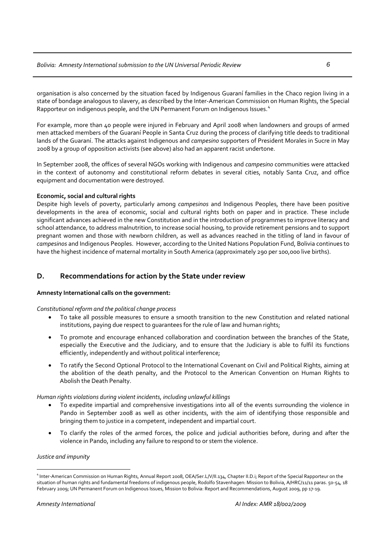organisation is also concerned by the situation faced by Indigenous Guaraní families in the Chaco region living in a state of bondage analogous to slavery, as described by the Inter‐American Commission on Human Rights, the Special Rapporteur on indigenous people, and the UN Permanent Forum on Indigenous Issues.<sup>[4](#page-5-0)</sup>

For example, more than 40 people were injured in February and April 2008 when landowners and groups of armed men attacked members of the Guaraní People in Santa Cruz during the process of clarifying title deeds to traditional lands of the Guaraní. The attacks against Indigenous and *campesino* supporters of President Morales in Sucre in May 2008 by a group of opposition activists (see above) also had an apparent racist undertone.

In September 2008, the offices of several NGOs working with Indigenous and *campesino* communities were attacked in the context of autonomy and constitutional reform debates in several cities, notably Santa Cruz, and office equipment and documentation were destroyed.

#### **Economic, social and cultural rights**

Despite high levels of poverty, particularly among *campesinos* and Indigenous Peoples, there have been positive developments in the area of economic, social and cultural rights both on paper and in practice. These include significant advances achieved in the new Constitution and in the introduction of programmes to improve literacy and school attendance, to address malnutrition, to increase social housing, to provide retirement pensions and to support pregnant women and those with newborn children, as well as advances reached in the titling of land in favour of *campesinos* and Indigenous Peoples. However, according to the United Nations Population Fund, Bolivia continues to have the highest incidence of maternal mortality in South America (approximately 290 per 100,000 live births).

#### **D. Recommendations for action by the State under review**

#### **Amnesty International calls on the government:**

#### *Constitutional reform and the political change process*

- To take all possible measures to ensure a smooth transition to the new Constitution and related national institutions, paying due respect to guarantees for the rule of law and human rights;
- To promote and encourage enhanced collaboration and coordination between the branches of the State, especially the Executive and the Judiciary, and to ensure that the Judiciary is able to fulfil its functions efficiently, independently and without political interference;
- To ratify the Second Optional Protocol to the International Covenant on Civil and Political Rights, aiming at the abolition of the death penalty, and the Protocol to the American Convention on Human Rights to Abolish the Death Penalty.

#### *Human rights violations during violent incidents, including unlawful killings*

- To expedite impartial and comprehensive investigations into all of the events surrounding the violence in Pando in September 2008 as well as other incidents, with the aim of identifying those responsible and bringing them to justice in a competent, independent and impartial court.
- To clarify the roles of the armed forces, the police and judicial authorities before, during and after the violence in Pando, including any failure to respond to or stem the violence.

#### *Justice and impunity*

<span id="page-5-0"></span><sup>4</sup> Inter‐American Commission on Human Rights, Annual Report 2008, OEA/Ser.L/V/II.134, Chapter II.D.i; Report of the Special Rapporteur on the situation of human rights and fundamental freedoms of indigenous people, Rodolfo Stavenhagen: Mission to Bolivia, A/HRC/11/11 paras. 50-54, 18 February 2009; UN Permanent Forum on Indigenous Issues, Mission to Bolivia: Report and Recommendations, August 2009, pp 17‐19.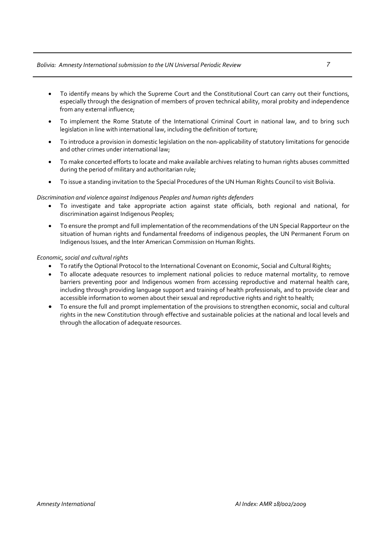#### *Bolivia: Amnesty Internationalsubmission to the UN Universal Periodic Review 7*

- To identify means by which the Supreme Court and the Constitutional Court can carry out their functions, especially through the designation of members of proven technical ability, moral probity and independence from any external influence;
- To implement the Rome Statute of the International Criminal Court in national law, and to bring such legislation in line with international law, including the definition of torture;
- To introduce a provision in domestic legislation on the non-applicability of statutory limitations for genocide and other crimes under international law;
- To make concerted efforts to locate and make available archives relating to human rights abuses committed during the period of military and authoritarian rule;
- To issue a standing invitation to the Special Procedures of the UN Human Rights Council to visit Bolivia.

#### *Discrimination and violence against Indigenous Peoples and human rights defenders*

- To investigate and take appropriate action against state officials, both regional and national, for discrimination against Indigenous Peoples;
- To ensure the prompt and full implementation of the recommendations of the UN Special Rapporteur on the situation of human rights and fundamental freedoms of indigenous peoples, the UN Permanent Forum on Indigenous Issues, and the Inter American Commission on Human Rights.

#### $E$ *conomic, social and cultural rights*

- To ratify the Optional Protocol to the International Covenant on Economic, Social and Cultural Rights;
- To allocate adequate resources to implement national policies to reduce maternal mortality, to remove barriers preventing poor and Indigenous women from accessing reproductive and maternal health care, including through providing language support and training of health professionals, and to provide clear and accessible information to women about their sexual and reproductive rights and right to health;
- To ensure the full and prompt implementation of the provisions to strengthen economic, social and cultural rights in the new Constitution through effective and sustainable policies at the national and local levels and through the allocation of adequate resources.